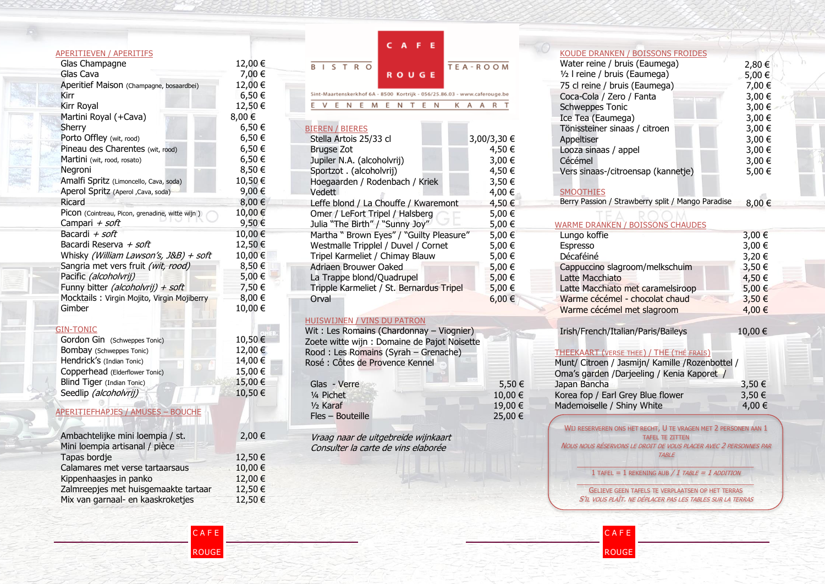### APERITIEVEN / APERITIFS

| 1 L V L I V / M L L V I I I I J                 |         |
|-------------------------------------------------|---------|
| Glas Champagne                                  | 12,00€  |
| Glas Cava                                       | 7,00 €  |
| Aperitief Maison (Champagne, bosaardbei)        | 12,00€  |
| Kirr                                            | 6,50€   |
| Kirr Royal                                      | 12,50€  |
| Martini Royal (+Cava)                           | 8,00€   |
| Sherry                                          | 6,50 €  |
| Porto Offley (wit, rood)                        | 6,50€   |
| Pineau des Charentes (wit, rood)                | 6,50€   |
| Martini (wit, rood, rosato)                     | 6,50€   |
| Negroni                                         | 8,50€   |
| Amalfi Spritz (Limoncello, Cava, soda)          | 10,50€  |
| Aperol Spritz (Aperol, Cava, soda)              | 9,00€   |
| Ricard                                          | 8,00€   |
| Picon (Cointreau, Picon, grenadine, witte wijn) | 10,00€  |
| Campari + soft                                  | 9,50€   |
| Bacardi + soft                                  | 10,00€  |
| Bacardi Reserva + soft                          | 12,50€  |
| Whisky (William Lawson's, J&B) + soft           | 10,00€  |
| Sangria met vers fruit (wit, rood)              | 8,50€   |
| Pacific (alcoholvrij)                           | 5,00 €  |
| Funny bitter (alcoholvrij) + soft               | 7,50 €  |
| Mocktails: Virgin Mojito, Virgin Mojiberry      | 8,00€   |
| Gimber                                          | 10,00€  |
|                                                 |         |
| <b>GIN-TONIC</b>                                |         |
| Gordon Gin (Schweppes Tonic)                    | 10,50€  |
| Bombay (Schweppes Tonic)                        | 12,00€  |
| Hendrick's (Indian Tonic)                       | 14,00€  |
| Copperhead (Elderflower Tonic)                  | 15,00 € |
| Blind Tiger (Indian Tonic)                      | 15,00€  |
| Seedlip (alcoholvrij)                           | 10,50€  |
| <b>APERITIEFHAPJES / AMUSES - BOUCHE</b>        |         |
|                                                 |         |
| Ambachtelijke mini loempia / st.                | 2,00 €  |
| Mini Ioemnia articanal / nièce                  |         |

| Ambachtelijke mini loempia / st.     | 2,00 € |
|--------------------------------------|--------|
| Mini loempia artisanal / pièce       |        |
| Tapas bordje                         | 12,50€ |
| Calamares met verse tartaarsaus      | 10,00€ |
| Kippenhaasjes in panko               | 12,00€ |
| Zalmreepjes met huisgemaakte tartaar | 12,50€ |
| Mix van garnaal- en kaaskroketjes    | 12,50€ |
|                                      |        |

| F<br>Е<br>L<br>S T R O<br>TEA-ROOM<br>B<br><b>ROUGE</b><br>Sint-Maartenskerkhof 6A - 8500 Kortrijk - 056/25.86.03 - www.caferouge.be<br>т<br>E<br>E<br>N<br>E<br>E<br>N<br>E<br>N<br>κ<br>v<br>M<br>А<br>Α                                                                                                                                                                                                                                                                                                                 | R<br>т                                                                                                                                                       |
|----------------------------------------------------------------------------------------------------------------------------------------------------------------------------------------------------------------------------------------------------------------------------------------------------------------------------------------------------------------------------------------------------------------------------------------------------------------------------------------------------------------------------|--------------------------------------------------------------------------------------------------------------------------------------------------------------|
| <b>BIEREN / BIERES</b><br>Stella Artois 25/33 cl<br><b>Brugse Zot</b><br>Jupiler N.A. (alcoholvrij)<br>Sportzot . (alcoholvrij)<br>Hoegaarden / Rodenbach / Kriek<br>Vedett<br>Leffe blond / La Chouffe / Kwaremont<br>Omer / LeFort Tripel / Halsberg<br>Julia "The Birth" / "Sunny Joy"<br>Martha " Brown Eyes" / "Guilty Pleasure"<br>Westmalle Tripplel / Duvel / Cornet<br>Tripel Karmeliet / Chimay Blauw<br>Adriaen Brouwer Oaked<br>La Trappe blond/Quadrupel<br>Tripple Karmeliet / St. Bernardus Tripel<br>Orval | 3,00/3,30 €<br>4,50€<br>3,00 €<br>4,50€<br>3,50 €<br>4,00€<br>4,50€<br>5,00 €<br>5,00 €<br>5,00 €<br>5,00 €<br>5,00 €<br>5,00 €<br>5,00 €<br>5,00 €<br>6,00€ |
| <b>HUISWIJNEN / VINS DU PATRON</b><br>Wit: Les Romains (Chardonnay - Viognier)<br>Zoete witte wijn : Domaine de Pajot Noisette<br>Rood: Les Romains (Syrah - Grenache)<br>Rosé : Côtes de Provence Kennel<br>Glas - Verre<br>1/4 Pichet<br>1/ <sub>2</sub> Karaf<br>Fles - Bouteille                                                                                                                                                                                                                                       | 5,50 €<br>10,00 €<br>19,00 €<br>25,00 €                                                                                                                      |
| Vraag naar de uitgebreide wijnkaart<br>Consulter la carte de vins elaborée                                                                                                                                                                                                                                                                                                                                                                                                                                                 |                                                                                                                                                              |

## KOUDE DRANKEN / BOISSONS FROIDES

| Water reine / bruis (Eaumega)      | 2,80 € |
|------------------------------------|--------|
| 1/2 I reine / bruis (Eaumega)      | 5,00 € |
| 75 cl reine / bruis (Eaumega)      | 7,00€  |
| Coca-Cola / Zero / Fanta           | 3,00 € |
| <b>Schweppes Tonic</b>             | 3,00 € |
| Ice Tea (Eaumega)                  | 3,00 € |
| Tönissteiner sinaas / citroen      | 3,00 € |
| Appeltiser                         | 3,00 € |
| Looza sinaas / appel               | 3,00 € |
| Cécémel                            | 3,00 € |
| Vers sinaas-/citroensap (kannetje) | 5,00 € |
|                                    |        |

### SMOOTHIES

**Tall** 

Berry Passion / Strawberry split / Mango Paradise  $8,00 \in$ 

# WARME DRANKEN / BOISSONS CHAUDES

| Lungo koffie                      | 3,00 € |
|-----------------------------------|--------|
| Espresso                          | 3,00 € |
| Décaféiné                         | 3,20 € |
| Cappuccino slagroom/melkschuim    | 3,50 € |
| Latte Macchiato                   | 4,50 € |
| Latte Macchiato met caramelsiroop | 5,00 € |
| Warme cécémel - chocolat chaud    | 3,50 € |
| Warme cécémel met slagroom        | 4,00 € |
|                                   |        |

Irish/French/Italian/Paris/Baileys 10,00 €

## THEEKAART (VERSE THEE) / THE (THÉ FRAIS)

| Munt/ Citroen / Jasmijn/ Kamille / Rozenbottel / |            |
|--------------------------------------------------|------------|
| Oma's garden / Darjeeling / Kenia Kaporet /      |            |
| Japan Bancha                                     | 3.50€      |
| Korea fop / Earl Grey Blue flower                | $3.50 \in$ |
| Mademoiselle / Shiny White                       | 4,00 €     |
|                                                  |            |

WIJ RESERVEREN ONS HET RECHT, U TE VRAGEN MET 2 PERSONEN AAN 1 TAFEL TE ZITTEN NOUS NOUS RÉSERVONS LE DROIT DE VOUS PLACER AVEC 2 PERSONNES PAR TABLE 1 TAFEL = 1 REKENING AUB / 1 TABLE = 1 ADDITION

GELIEVE GEEN TAFELS TE VERPLAATSEN OP HET TERRAS

S'IL VOUS PLAÎT, NE DÉPLACER PAS LES TABLES SUR LA TERRAS





 $\mathbf{U}$ 

K.